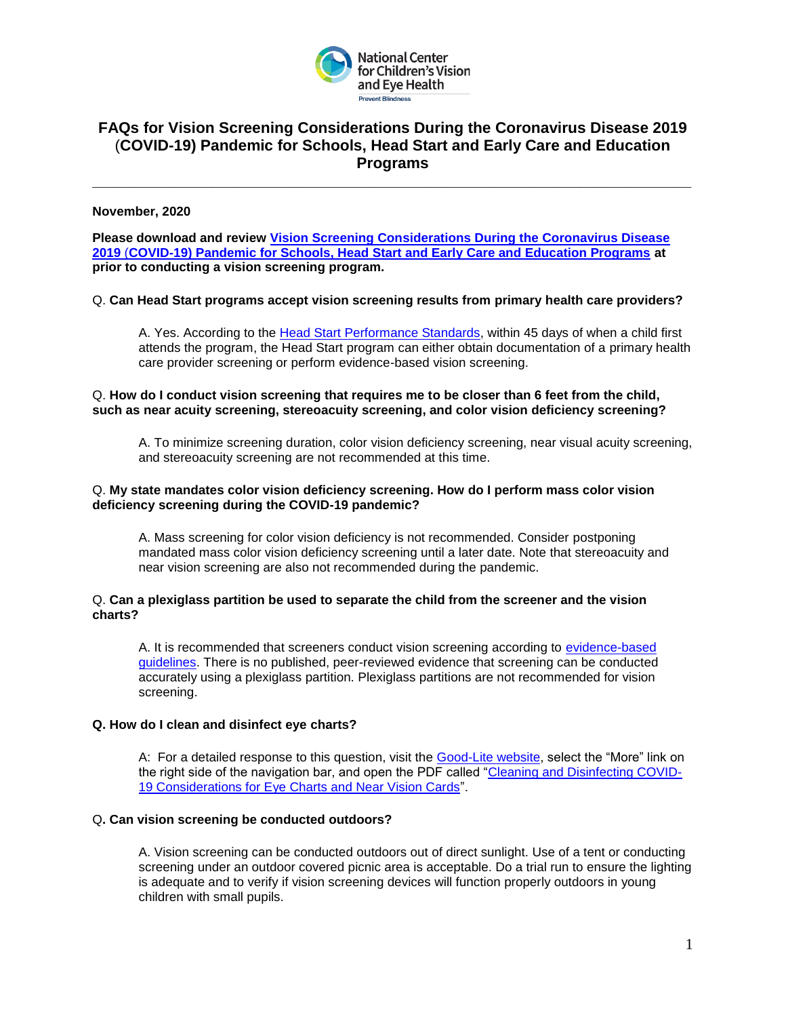

# **FAQs for Vision Screening Considerations During the Coronavirus Disease 2019** (**COVID-19) Pandemic for Schools, Head Start and Early Care and Education Programs**

**\_\_\_\_\_\_\_\_\_\_\_\_\_\_\_\_\_\_\_\_\_\_\_\_\_\_\_\_\_\_\_\_\_\_\_\_\_\_\_\_\_\_\_\_\_\_\_\_\_\_\_\_\_\_\_\_\_\_\_\_\_\_\_\_\_\_\_\_\_\_**

## **November, 2020**

**Please download and review [Vision Screening Considerations During the Coronavirus Disease](https://preventblindness.org/wp-content/uploads/2020/08/NCCVEH-Vision-Screening-Considerations-August-2020-2.pdf)  2019** (**[COVID-19\) Pandemic for Schools, Head Start and Early Care and Education Programs](https://preventblindness.org/wp-content/uploads/2020/08/NCCVEH-Vision-Screening-Considerations-August-2020-2.pdf) at prior to conducting a vision screening program.**

## Q. **Can Head Start programs accept vision screening results from primary health care providers?**

A. Yes. According to the [Head Start Performance Standards,](https://eclkc.ohs.acf.hhs.gov/policy/45-cfr-chap-xiii/1302-42-child-health-status-care) within 45 days of when a child first attends the program, the Head Start program can either obtain documentation of a primary health care provider screening or perform evidence-based vision screening.

## Q. **How do I conduct vision screening that requires me to be closer than 6 feet from the child, such as near acuity screening, stereoacuity screening, and color vision deficiency screening?**

A. To minimize screening duration, color vision deficiency screening, near visual acuity screening, and stereoacuity screening are not recommended at this time.

### Q. **My state mandates color vision deficiency screening. How do I perform mass color vision deficiency screening during the COVID-19 pandemic?**

A. Mass screening for color vision deficiency is not recommended. Consider postponing mandated mass color vision deficiency screening until a later date. Note that stereoacuity and near vision screening are also not recommended during the pandemic.

### Q. **Can a plexiglass partition be used to separate the child from the screener and the vision charts?**

A. It is recommended that screeners conduct vision screening according to [evidence-based](https://nationalcenter.preventblindness.org/vision-screening-guidelines-by-age/)  [guidelines.](https://nationalcenter.preventblindness.org/vision-screening-guidelines-by-age/) There is no published, peer-reviewed evidence that screening can be conducted accurately using a plexiglass partition. Plexiglass partitions are not recommended for vision screening.

### **Q. How do I clean and disinfect eye charts?**

A: For a detailed response to this question, visit the [Good-Lite website,](https://www.good-lite.com/) select the "More" link on the right side of the navigation bar, and open the PDF called ["Cleaning and Disinfecting COVID-](https://cdn.shopify.com/s/files/1/0282/4578/6729/files/GL_Wall_Chart_and_Near_Vision_Card_instructions.pdf)[19 Considerations for Eye Charts and Near Vision Cards"](https://cdn.shopify.com/s/files/1/0282/4578/6729/files/GL_Wall_Chart_and_Near_Vision_Card_instructions.pdf).

### Q**. Can vision screening be conducted outdoors?**

A. Vision screening can be conducted outdoors out of direct sunlight. Use of a tent or conducting screening under an outdoor covered picnic area is acceptable. Do a trial run to ensure the lighting is adequate and to verify if vision screening devices will function properly outdoors in young children with small pupils.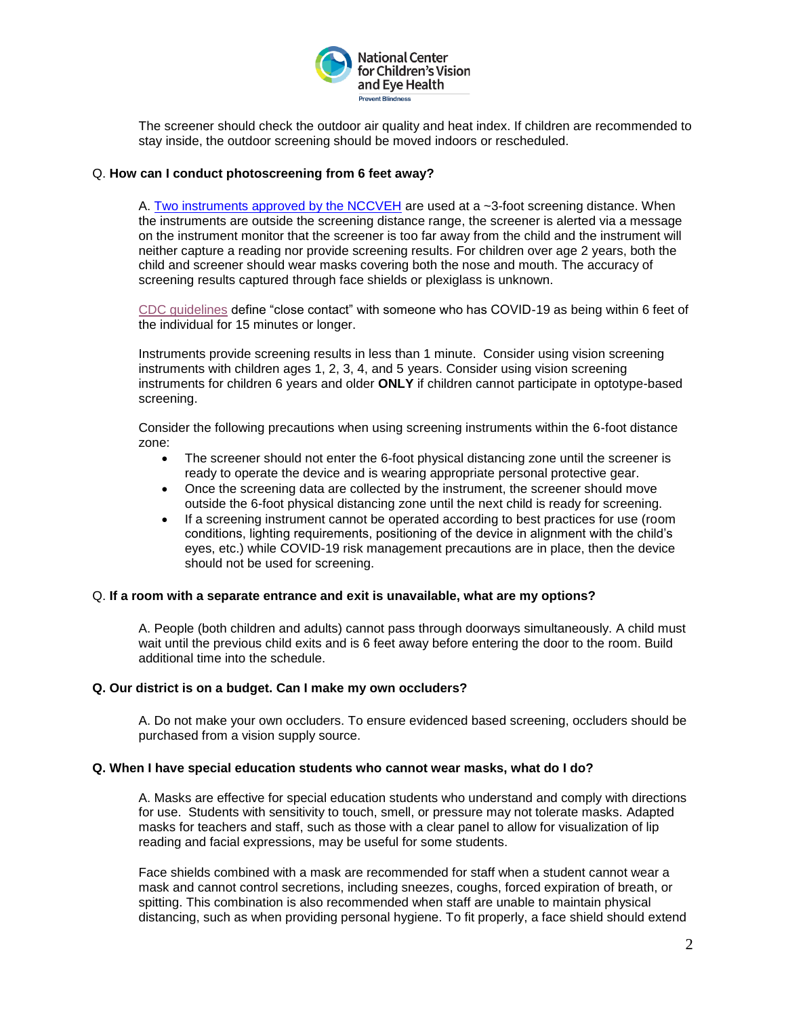

The screener should check the outdoor air quality and heat index. If children are recommended to stay inside, the outdoor screening should be moved indoors or rescheduled.

## Q. **How can I conduct photoscreening from 6 feet away?**

A. [Two instruments approved by the NCCVEH](https://preventblindness.org/vision-screening-guidelines-by-age/#1587738048879-51c0c8e9-cd5c) are used at a ~3-foot screening distance. When the instruments are outside the screening distance range, the screener is alerted via a message on the instrument monitor that the screener is too far away from the child and the instrument will neither capture a reading nor provide screening results. For children over age 2 years, both the child and screener should wear masks covering both the nose and mouth. The accuracy of screening results captured through face shields or plexiglass is unknown.

[CDC guidelines](https://www.cdc.gov/coronavirus/2019-ncov/if-you-are-sick/quarantine.html) define "close contact" with someone who has COVID-19 as being within 6 feet of the individual for 15 minutes or longer.

Instruments provide screening results in less than 1 minute. Consider using vision screening instruments with children ages 1, 2, 3, 4, and 5 years. Consider using vision screening instruments for children 6 years and older **ONLY** if children cannot participate in optotype-based screening.

Consider the following precautions when using screening instruments within the 6-foot distance zone:

- The screener should not enter the 6-foot physical distancing zone until the screener is ready to operate the device and is wearing appropriate personal protective gear.
- Once the screening data are collected by the instrument, the screener should move outside the 6-foot physical distancing zone until the next child is ready for screening.
- If a screening instrument cannot be operated according to best practices for use (room conditions, lighting requirements, positioning of the device in alignment with the child's eyes, etc.) while COVID-19 risk management precautions are in place, then the device should not be used for screening.

### Q. **If a room with a separate entrance and exit is unavailable, what are my options?**

A. People (both children and adults) cannot pass through doorways simultaneously. A child must wait until the previous child exits and is 6 feet away before entering the door to the room. Build additional time into the schedule.

### **Q. Our district is on a budget. Can I make my own occluders?**

A. Do not make your own occluders. To ensure evidenced based screening, occluders should be purchased from a vision supply source.

## **Q. When I have special education students who cannot wear masks, what do I do?**

A. Masks are effective for special education students who understand and comply with directions for use. Students with sensitivity to touch, smell, or pressure may not tolerate masks. Adapted masks for teachers and staff, such as those with a clear panel to allow for visualization of lip reading and facial expressions, may be useful for some students.

Face shields combined with a mask are recommended for staff when a student cannot wear a mask and cannot control secretions, including sneezes, coughs, forced expiration of breath, or spitting. This combination is also recommended when staff are unable to maintain physical distancing, such as when providing personal hygiene. To fit properly, a face shield should extend